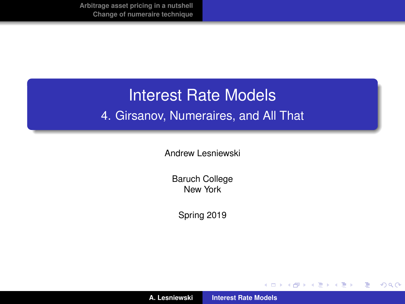# Interest Rate Models 4. Girsanov, Numeraires, and All That

Andrew Lesniewski

Baruch College New York

Spring 2019

(ロトス個) (運) (運)

重

<span id="page-0-0"></span> $2Q$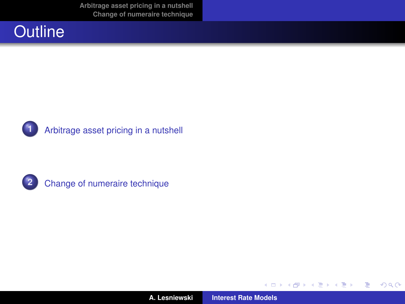**[Arbitrage asset pricing in a nutshell](#page-2-0) [Change of numeraire technique](#page-31-0)**







**2** [Change of numeraire technique](#page-31-0)

**A. Lesniewski [Interest Rate Models](#page-0-0)**

(ロトス個) (運) (運)

重

<span id="page-1-0"></span> $2Q$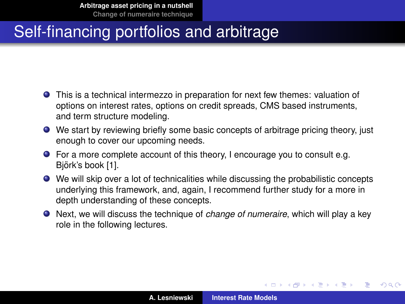- This is a technical intermezzo in preparation for next few themes: valuation of options on interest rates, options on credit spreads, CMS based instruments, and term structure modeling.
- We start by reviewing briefly some basic concepts of arbitrage pricing theory, just enough to cover our upcoming needs.
- For a more complete account of this theory, I encourage you to consult e.g. Björk's book [\[1\]](#page-42-1).
- We will skip over a lot of technicalities while discussing the probabilistic concepts underlying this framework, and, again, I recommend further study for a more in depth understanding of these concepts.
- Next, we will discuss the technique of *change of numeraire*, which will play a key role in the following lectures.

(ロトス個) (運) (運)

 $QQ$ 

<span id="page-2-0"></span>Þ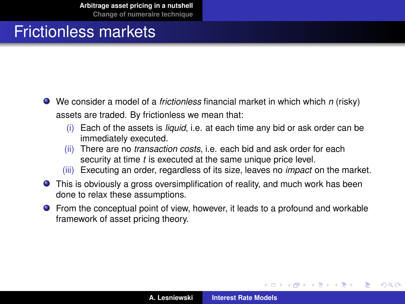### Frictionless markets

- We consider a model of a *frictionless* financial market in which which *n* (risky) assets are traded. By frictionless we mean that:
	- (i) Each of the assets is *liquid*, i.e. at each time any bid or ask order can be immediately executed.
	- (ii) There are no *transaction costs*, i.e. each bid and ask order for each security at time *t* is executed at the same unique price level.
	- (iii) Executing an order, regardless of its size, leaves no *impact* on the market.
- This is obviously a gross oversimplification of reality, and much work has been done to relax these assumptions.
- From the conceptual point of view, however, it leads to a profound and workable framework of asset pricing theory.

K ロ ⊁ K 御 ⊁ K 君 ⊁ K 君 ⊁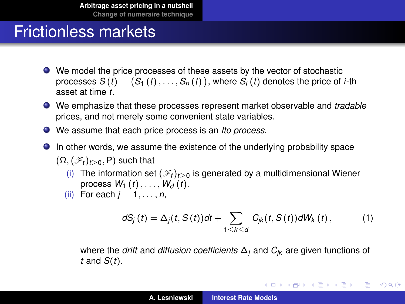#### Frictionless markets

- We model the price processes of these assets by the vector of stochastic processes  $S\left(t\right)=\left(S_{1}\left(t\right),\ldots,S_{n}\left(t\right)\right)$ , where  $S_{i}\left(t\right)$  denotes the price of *i*-th asset at time *t*.
- We emphasize that these processes represent market observable and *tradable* prices, and not merely some convenient state variables.
- We assume that each price process is an *Ito process*.
- In other words, we assume the existence of the underlying probability space  $(\Omega, (\mathscr{F}_t)_{t>0}, P)$  such that
	- (i) The information set  $(\mathscr{F}_t)_{t>0}$  is generated by a multidimensional Wiener process  $W_1(t), \ldots, W_d(\overline{t})$ .
	- (ii) For each  $j = 1, \ldots, n$ ,

<span id="page-4-0"></span>
$$
dS_j(t) = \Delta_j(t, S(t))dt + \sum_{1 \leq k \leq d} C_{jk}(t, S(t))dW_k(t), \qquad (1)
$$

K ロ ⊁ K 伊 ⊁ K 君 ⊁ K 君 ⊁ …

唐山  $2Q$ 

where the *drift* and *diffusion coefficients* ∆*<sup>j</sup>* and *Cjk* are given functions of *t* and *S*(*t*).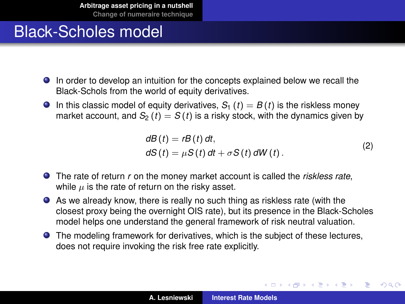# Black-Scholes model

- In order to develop an intuition for the concepts explained below we recall the Black-Schols from the world of equity derivatives.
- **In this classic model of equity derivatives,**  $S_1(t) = B(t)$  **is the riskless money** market account, and  $S_2(t) = S(t)$  is a risky stock, with the dynamics given by

$$
dB(t) = rB(t) dt,
$$
  
\n
$$
dS(t) = \mu S(t) dt + \sigma S(t) dW(t).
$$
\n(2)

(ロトス個) (運) (運)

 $QQ$ 

Þ

- The rate of return *r* on the money market account is called the *riskless rate*, while  $\mu$  is the rate of return on the risky asset.
- As we already know, there is really no such thing as riskless rate (with the closest proxy being the overnight OIS rate), but its presence in the Black-Scholes model helps one understand the general framework of risk neutral valuation.
- The modeling framework for derivatives, which is the subject of these lectures, does not require invoking the risk free rate explicitly.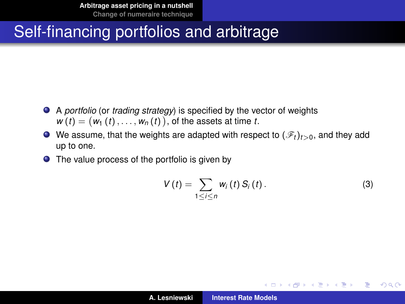- A *portfolio* (or *trading strategy*) is specified by the vector of weights  $w(t) = (w_1(t), \ldots, w_n(t))$ , of the assets at time *t*.
- $\bullet$  We assume, that the weights are adapted with respect to  $(\mathscr{F}_t)_{t>0}$ , and they add up to one.
- The value process of the portfolio is given by

$$
V(t) = \sum_{1 \leq i \leq n} w_i(t) S_i(t).
$$
 (3)

イロメ イ部メ イヨメ イヨメー

È.  $298$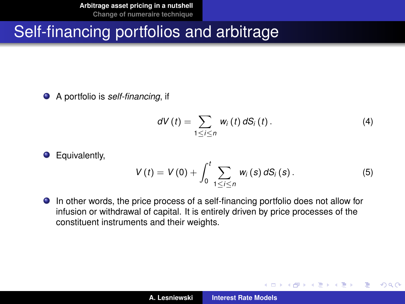A portfolio is *self-financing*, if

**O** Equivalently,

$$
dV(t) = \sum_{1 \leq i \leq n} w_i(t) dS_i(t).
$$
 (4)

(ロトス個) (運) (運)

<span id="page-7-0"></span>重  $2Q$ 

$$
V(t) = V(0) + \int_0^t \sum_{1 \leq i \leq n} w_i(s) dS_i(s).
$$
 (5)

In other words, the price process of a self-financing portfolio does not allow for infusion or withdrawal of capital. It is entirely driven by price processes of the constituent instruments and their weights.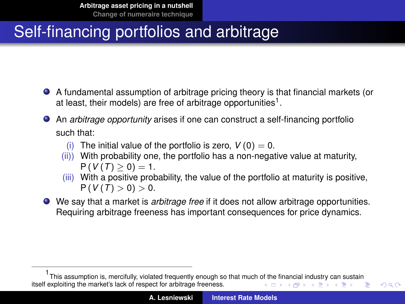- A fundamental assumption of arbitrage pricing theory is that financial markets (or at least, their models) are free of arbitrage opportunities<sup>1</sup>.
- An *arbitrage opportunity* arises if one can construct a self-financing portfolio such that:
	- (i) The initial value of the portfolio is zero,  $V(0) = 0$ .
	- (ii)) With probability one, the portfolio has a non-negative value at maturity,  $P(V(T) \geq 0) = 1.$
	- (iii) With a positive probability, the value of the portfolio at maturity is positive,  $P(V(T) > 0) > 0.$
- We say that a market is *arbitrage free* if it does not allow arbitrage opportunities. Requiring arbitrage freeness has important consequences for price dynamics.

<span id="page-8-0"></span><sup>1</sup> This assumption is, mercifully, violated frequently enough so that much [of th](#page-7-0)e [fin](#page-9-0)[an](#page-7-0)[cial](#page-8-0) [in](#page-9-0)[d](#page-1-0)[us](#page-2-0)[tr](#page-30-0)[y c](#page-31-0)[a](#page-1-0)[n](#page-2-0) [su](#page-30-0)[st](#page-31-0)[ain](#page-0-0) itself exploiting the market's lack of respect for arbitrage freeness.  $\left\{ \begin{array}{ccc} 1 & 0 & 0 \\ 0 & 1 & 0 \end{array} \right.$ Þ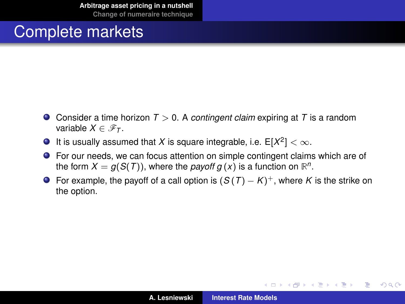- Consider a time horizon *T* > 0. A *contingent claim* expiring at *T* is a random variable  $X \in \mathscr{F}_T$ .
- It is usually assumed that X is square integrable, i.e.  $E[X^2] < \infty$ .
- For our needs, we can focus attention on simple contingent claims which are of the form  $X = g(S(T))$ , where the *payoff g*  $(x)$  is a function on  $\mathbb{R}^n$ .
- For example, the payoff of a call option is  $(S(T) K)^+$ , where *K* is the strike on the option.

(ロトス個) (運) (運)

<span id="page-9-0"></span>重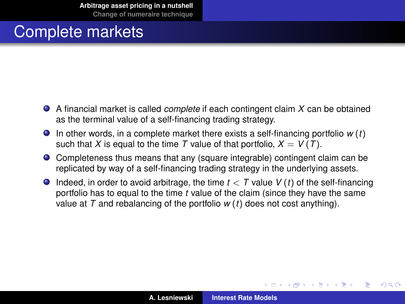- A financial market is called *complete* if each contingent claim *X* can be obtained as the terminal value of a self-financing trading strategy.
- $\bullet$  In other words, in a complete market there exists a self-financing portfolio  $w(t)$ such that *X* is equal to the time *T* value of that portfolio,  $X = V(T)$ .
- Completeness thus means that any (square integrable) contingent claim can be replicated by way of a self-financing trading strategy in the underlying assets.
- **Indeed, in order to avoid arbitrage, the time**  $t < T$  **value**  $V(t)$  **of the self-financing** portfolio has to equal to the time *t* value of the claim (since they have the same value at *T* and rebalancing of the portfolio *w* (*t*) does not cost anything).

K ロ ⊁ K 御 ⊁ K 君 ⊁ K 君 ⊁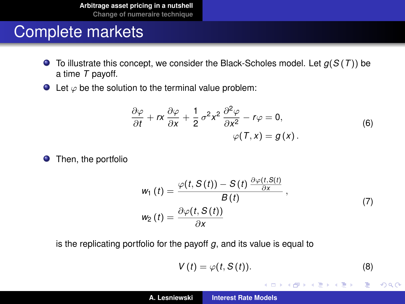- $\bullet$  To illustrate this concept, we consider the Black-Scholes model. Let  $g(S(T))$  be a time *T* payoff.
- $\bullet$  Let  $\varphi$  be the solution to the terminal value problem:

$$
\frac{\partial \varphi}{\partial t} + rx \frac{\partial \varphi}{\partial x} + \frac{1}{2} \sigma^2 x^2 \frac{\partial^2 \varphi}{\partial x^2} - r\varphi = 0, \varphi(T, x) = g(x).
$$
\n(6)

**•** Then, the portfolio

$$
w_1(t) = \frac{\varphi(t, S(t)) - S(t) \frac{\partial \varphi(t, S(t))}{\partial x}}{B(t)},
$$
  
\n
$$
w_2(t) = \frac{\partial \varphi(t, S(t))}{\partial x}
$$
\n(7)

is the replicating portfolio for the payoff *g*, and its value is equal to

$$
V(t) = \varphi(t, S(t)).
$$
 (8)

イロメ イ部メ イヨメ イヨメー

 $2Q$ 

重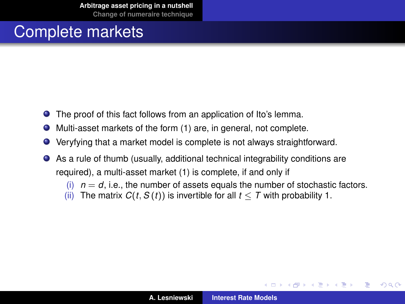- $\bullet$ The proof of this fact follows from an application of Ito's lemma.
- Multi-asset markets of the form [\(1\)](#page-4-0) are, in general, not complete.  $\bullet$
- $\bullet$ Veryfying that a market model is complete is not always straightforward.
- As a rule of thumb (usually, additional technical integrability conditions are required), a multi-asset market [\(1\)](#page-4-0) is complete, if and only if
	- $(i)$   $n = d$ , i.e., the number of assets equals the number of stochastic factors.
	- (ii) The matrix  $C(t, S(t))$  is invertible for all  $t < T$  with probability 1.

(ロ) (個) (目) (言)

 $QQ$ 

∍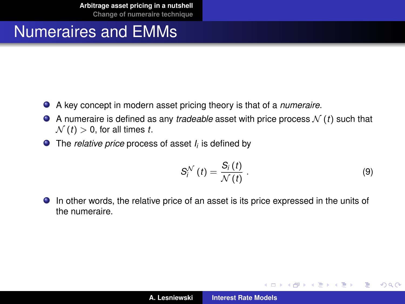#### Numeraires and EMMs

- A key concept in modern asset pricing theory is that of a *numeraire*.
- $\bullet$  A numeraire is defined as any *tradeable* asset with price process  $\mathcal{N}(t)$  such that  $\mathcal{N}(t) > 0$ , for all times *t*.
- The *relative price* process of asset *I<sup>i</sup>* is defined by

$$
S_i^{\mathcal{N}}(t) = \frac{S_i(t)}{\mathcal{N}(t)}\,. \tag{9}
$$

(ロトス個) (運) (運)

Þ

 $QQ$ 

In other words, the relative price of an asset is its price expressed in the units of the numeraire.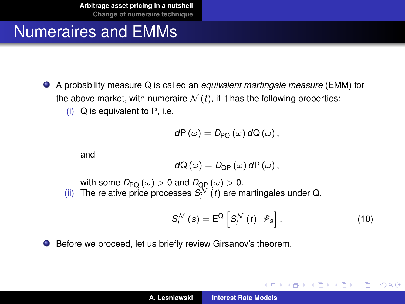# Numeraires and EMMs

- A probability measure Q is called an *equivalent martingale measure* (EMM) for the above market, with numeraire  $\mathcal{N}(t)$ , if it has the following properties:
	- (i) Q is equivalent to P, i.e.

$$
dP(\omega)=D_{\mathsf{PQ}}(\omega) dQ(\omega),
$$

and

$$
dQ(\omega)=D_{\text{QP}}(\omega) dP(\omega),
$$

with some  $D_{\text{PQ}}(\omega) > 0$  and  $D_{\text{QP}}(\omega) > 0$ . (ii) The relative price processes  $S_i^{\mathcal{N}}(t)$  are martingales under Q,

$$
S_i^{\mathcal{N}}(s) = E^{\mathcal{Q}}\left[S_i^{\mathcal{N}}(t) \,|\, \mathcal{F}_s\right]. \tag{10}
$$

(ロトス個) (運) (運)

Þ  $2Q$ 

Before we proceed, let us briefly review Girsanov's theorem.  $\bullet$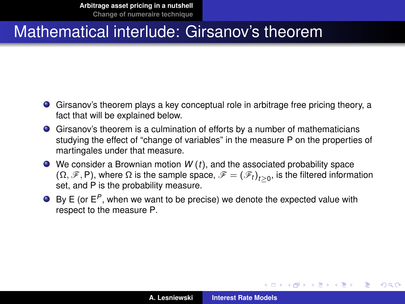- Girsanov's theorem plays a key conceptual role in arbitrage free pricing theory, a fact that will be explained below.
- Girsanov's theorem is a culmination of efforts by a number of mathematicians studying the effect of "change of variables" in the measure P on the properties of martingales under that measure.
- We consider a Brownian motion *W* (*t*), and the associated probability space  $(\Omega, \mathscr{F}, P)$ , where  $\Omega$  is the sample space,  $\mathscr{F} = (\mathscr{F}_t)_{t \geq 0}$ , is the filtered information set, and P is the probability measure.
- By E (or E<sup>P</sup>, when we want to be precise) we denote the expected value with respect to the measure P.

イロメ イ部メ イヨメ イヨメー

÷.  $QQ$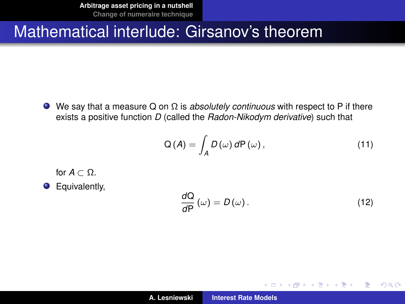**[Arbitrage asset pricing in a nutshell](#page-2-0) [Change of numeraire technique](#page-31-0)**

#### Mathematical interlude: Girsanov's theorem

We say that a measure Q on Ω is *absolutely continuous* with respect to P if there exists a positive function *D* (called the *Radon-Nikodym derivative*) such that

$$
Q(A) = \int_{A} D(\omega) dP(\omega), \qquad (11)
$$

for  $A \subset \Omega$ .

**O** Equivalently,

$$
\frac{dQ}{dP}(\omega) = D(\omega). \tag{12}
$$

(ロトス個) (運) (運)

 $2Q$ 

重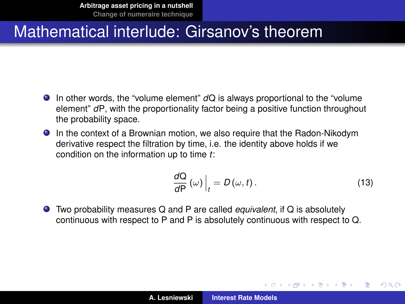- In other words, the "volume element" *d*Q is always proportional to the "volume element" *d*P, with the proportionality factor being a positive function throughout the probability space.
- In the context of a Brownian motion, we also require that the Radon-Nikodym derivative respect the filtration by time, i.e. the identity above holds if we condition on the information up to time *t*:

$$
\left. \frac{dQ}{dP} \left( \omega \right) \right|_{t} = D \left( \omega, t \right). \tag{13}
$$

(ロトス個) (運) (運)

 $QQ$ 

Two probability measures Q and P are called *equivalent*, if Q is absolutely continuous with respect to P and P is absolutely continuous with respect to Q.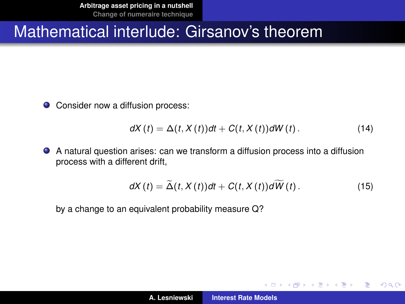● Consider now a diffusion process:

$$
dX(t) = \Delta(t, X(t))dt + C(t, X(t))dW(t).
$$
 (14)

A natural question arises: can we transform a diffusion process into a diffusion process with a different drift,

$$
dX(t) = \widetilde{\Delta}(t, X(t))dt + C(t, X(t))d\widetilde{W}(t).
$$
 (15)

(ロトス個) (運) (運)

 $QQ$ 

Þ

by a change to an equivalent probability measure Q?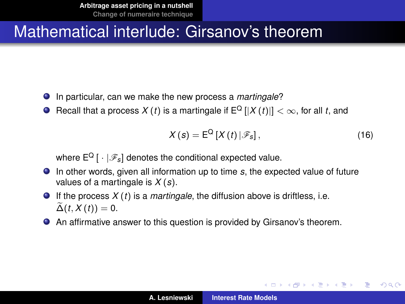- In particular, can we make the new process a *martingale*?
- **O** Recall that a process  $X(t)$  is a martingale if  $E^Q$   $[|X(t)|] < \infty$ , for all *t*, and

$$
X(s) = \mathsf{E}^{\mathsf{Q}} \left[ X(t) \left| \mathcal{F}_s \right|, \right. \tag{16}
$$

イロメ イ部メ イヨメ イヨメー

÷.  $2Q$ 

where  $E^{Q}$  [  $\cdot$  |  $\mathscr{F}_{S}$ ] denotes the conditional expected value.

- In other words, given all information up to time *s*, the expected value of future values of a martingale is *X* (*s*).
- If the process  $X(t)$  is a *martingale*, the diffusion above is driftless, i.e.  $\widetilde{\Delta}(t, X(t)) = 0.$
- An affirmative answer to this question is provided by Girsanov's theorem.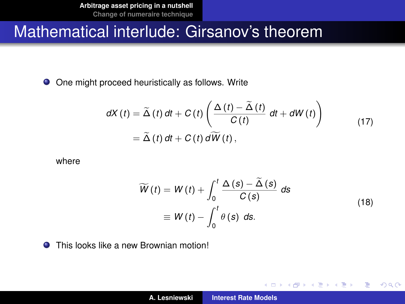● One might proceed heuristically as follows. Write

$$
dX(t) = \widetilde{\Delta}(t) dt + C(t) \left( \frac{\Delta(t) - \widetilde{\Delta}(t)}{C(t)} dt + dW(t) \right)
$$
  
=  $\widetilde{\Delta}(t) dt + C(t) d\widetilde{W}(t)$ , (17)

where

$$
\widetilde{W}(t) = W(t) + \int_0^t \frac{\Delta(s) - \widetilde{\Delta}(s)}{C(s)} ds
$$
\n
$$
\equiv W(t) - \int_0^t \theta(s) ds.
$$
\n(18)

イロメ イ部メ イヨメ イヨメー

重

 $299$ 

 $\bullet$ This looks like a new Brownian motion!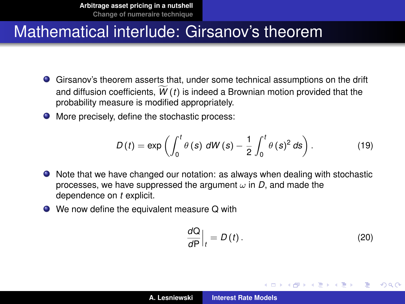- Girsanov's theorem asserts that, under some technical assumptions on the drift and diffusion coefficients,  $\widetilde{W}(t)$  is indeed a Brownian motion provided that the probability measure is modified appropriately.
- More precisely, define the stochastic process:

$$
D(t) = \exp\left(\int_0^t \theta(s) dW(s) - \frac{1}{2} \int_0^t \theta(s)^2 ds\right).
$$
 (19)

- Note that we have changed our notation: as always when dealing with stochastic processes, we have suppressed the argument  $\omega$  in *D*, and made the dependence on *t* explicit.
- We now define the equivalent measure Q with

$$
\left. \frac{d\mathbf{Q}}{d\mathbf{P}} \right|_{t} = D(t). \tag{20}
$$

K ロ ⊁ K 御 ⊁ K 君 ⊁ K 君 ⊁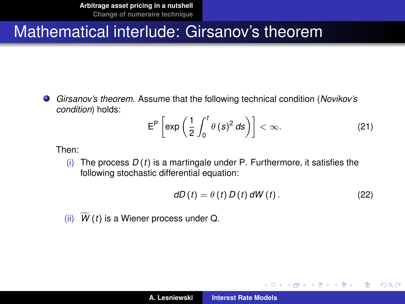*Girsanov's theorem*. Assume that the following technical condition (*Novikov's*  $\bullet$ *condition*) holds:

$$
\mathsf{E}^{\mathsf{P}}\left[\exp\left(\frac{1}{2}\int_0^t \theta\left(s\right)^2 ds\right)\right] < \infty. \tag{21}
$$

Then:

(i) The process *D* (*t*) is a martingale under P. Furthermore, it satisfies the following stochastic differential equation:

$$
dD(t) = \theta(t) D(t) dW(t).
$$
 (22)

イロメ イ部メ イヨメ イヨメー

重

 $QQ$ 

(ii)  $\widetilde{W}(t)$  is a Wiener process under Q.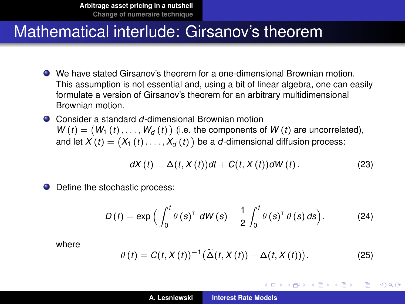- We have stated Girsanov's theorem for a one-dimensional Brownian motion. This assumption is not essential and, using a bit of linear algebra, one can easily formulate a version of Girsanov's theorem for an arbitrary multidimensional Brownian motion.
- Consider a standard *d*-dimensional Brownian motion  $W(t) = (W_1(t), \ldots, W_d(t))$  (i.e. the components of  $W(t)$  are uncorrelated), and let  $X\left(t\right)=\left(X_{1}\left(t\right),\ldots,X_{d}\left(t\right)\right)$  be a  $d$ -dimensional diffusion process:

$$
dX(t) = \Delta(t, X(t))dt + C(t, X(t))dW(t).
$$
 (23)

● Define the stochastic process:

$$
D(t) = \exp\Big(\int_0^t \theta(s)^{\mathrm{T}} dW(s) - \frac{1}{2} \int_0^t \theta(s)^{\mathrm{T}} \theta(s) ds\Big). \tag{24}
$$

where

$$
\theta(t) = C(t, X(t))^{-1} \big(\widetilde{\Delta}(t, X(t)) - \Delta(t, X(t))\big). \tag{25}
$$

イロメ イ部メ イヨメ イヨメー

÷.  $QQQ$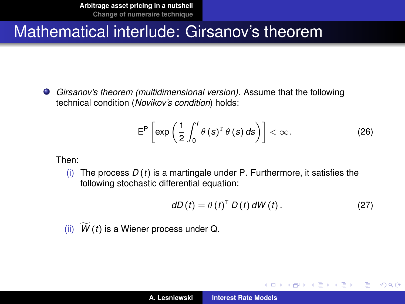*Girsanov's theorem (multidimensional version)*. Assume that the following technical condition (*Novikov's condition*) holds:

$$
\mathsf{E}^{\mathsf{P}}\left[\exp\left(\frac{1}{2}\int_0^t \theta\left(s\right)^{\mathrm{T}}\theta\left(s\right)ds\right)\right] < \infty. \tag{26}
$$

Then:

(i) The process *D* (*t*) is a martingale under P. Furthermore, it satisfies the following stochastic differential equation:

$$
dD(t) = \theta(t)^{\mathrm{T}} D(t) dW(t).
$$
 (27)

(ロトス個) (運) (運)

Þ  $QQQ$ 

(ii)  $W(t)$  is a Wiener process under Q.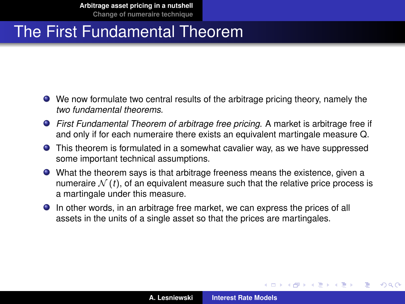- We now formulate two central results of the arbitrage pricing theory, namely the *two fundamental theorems.*
- *First Fundamental Theorem of arbitrage free pricing*. A market is arbitrage free if and only if for each numeraire there exists an equivalent martingale measure Q.
- This theorem is formulated in a somewhat cavalier way, as we have suppressed some important technical assumptions.
- What the theorem says is that arbitrage freeness means the existence, given a numeraire  $\mathcal{N}(t)$ , of an equivalent measure such that the relative price process is a martingale under this measure.
- In other words, in an arbitrage free market, we can express the prices of all assets in the units of a single asset so that the prices are martingales.

K ロ ⊁ K 御 ⊁ K 君 ⊁ K 君 ⊁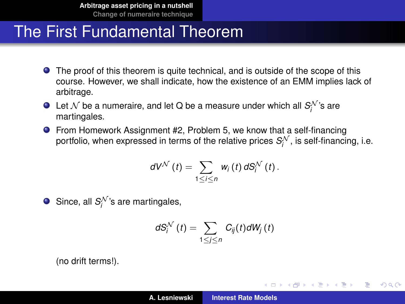- **•** The proof of this theorem is quite technical, and is outside of the scope of this course. However, we shall indicate, how the existence of an EMM implies lack of arbitrage.
- Let  $\mathcal N$  be a numeraire, and let Q be a measure under which all  $\mathcal S_i^{\mathcal N}$ 's are martingales.
- From Homework Assignment #2, Problem 5, we know that a self-financing portfolio, when expressed in terms of the relative prices  $\mathcal{S}^{\mathcal{N}}_i$ , is self-financing, i.e.

$$
dV^{\mathcal{N}}(t)=\sum_{1\leq i\leq n}w_{i}(t)\,dS_{i}^{\mathcal{N}}(t).
$$

Since, all  $S_i^{\mathcal{N}}$ 's are martingales,

$$
dS_i^{\mathcal{N}}(t) = \sum_{1 \leq j \leq n} C_{ij}(t) dW_j(t)
$$

(no drift terms!).

(ロトス個) (運) (運)

 $299$ 

Þ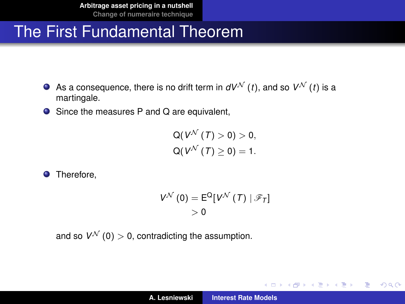- As a consequence, there is no drift term in  $dV^{\mathcal{N}}(t)$ , and so  $V^{\mathcal{N}}(t)$  is a martingale.
- Since the measures P and Q are equivalent,

$$
Q(V^{\mathcal{N}}(T) > 0) > 0,
$$
  
 
$$
Q(V^{\mathcal{N}}(T) \geq 0) = 1.
$$

**O** Therefore.

$$
V^{\mathcal{N}}(0) = E^{\mathsf{Q}}[V^{\mathcal{N}}(T) | \mathscr{F}_T]
$$
  
> 0

and so  $V^{\mathcal{N}}(0) > 0$ , contradicting the assumption.

K ロ ⊁ K 伊 ⊁ K 君 ⊁ K 君 ⊁ …

 $\equiv$  990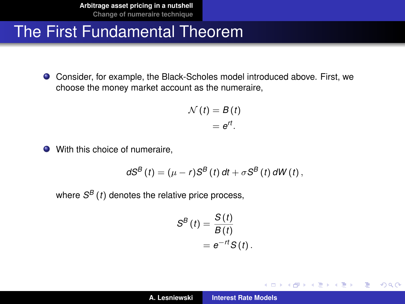Consider, for example, the Black-Scholes model introduced above. First, we choose the money market account as the numeraire,

$$
\mathcal{N}(t) = B(t) = e^{rt}.
$$

● With this choice of numeraire,

$$
dS^{B}(t)=(\mu-r)S^{B}(t) dt + \sigma S^{B}(t) dW(t),
$$

where *S <sup>B</sup>* (*t*) denotes the relative price process,

$$
S^{B}(t) = \frac{S(t)}{B(t)}
$$
  
=  $e^{-rt}S(t)$ .

(ロトス個) (運) (運)

 $QQ$ 

重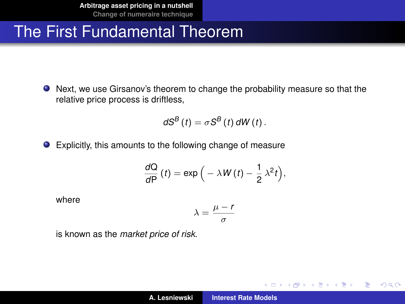Next, we use Girsanov's theorem to change the probability measure so that the relative price process is driftless,

$$
dS^{B}(t)=\sigma S^{B}(t) dW(t).
$$

Explicitly, this amounts to the following change of measure

$$
\frac{dQ}{dP}(t) = \exp\Big(-\lambda W(t) - \frac{1}{2}\lambda^2 t\Big),\,
$$

where

$$
\lambda = \frac{\mu - r}{\sigma}
$$

is known as the *market price of risk*.

イロメ イ部メ イヨメ イヨメー

 $299$ 

重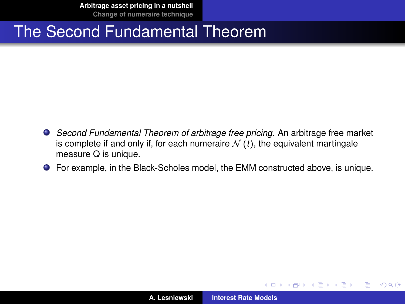**[Arbitrage asset pricing in a nutshell](#page-2-0) [Change of numeraire technique](#page-31-0)**

#### The Second Fundamental Theorem

- *Second Fundamental Theorem of arbitrage free pricing*. An arbitrage free market is complete if and only if, for each numeraire  $\mathcal{N}(t)$ , the equivalent martingale measure Q is unique.
- For example, in the Black-Scholes model, the EMM constructed above, is unique.

(ロトス個) (運) (運)

 $QQ$ 

<span id="page-30-0"></span>Þ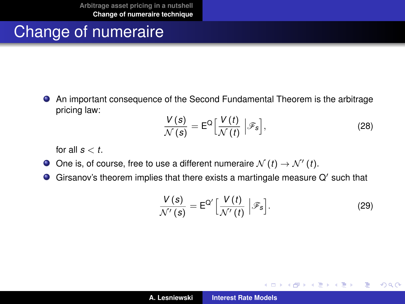# Change of numeraire

An important consequence of the Second Fundamental Theorem is the arbitrage pricing law:

$$
\frac{V(s)}{\mathcal{N}(s)} = \mathsf{E}^{\mathsf{Q}} \Big[ \frac{V(t)}{\mathcal{N}(t)} \Big| \mathscr{F}_s \Big],\tag{28}
$$

for all  $s < t$ .

- One is, of course, free to use a different numeraire  $\mathcal{N}(t) \to \mathcal{N}'(t)$ .
- $\bullet$ Girsanov's theorem implies that there exists a martingale measure  $Q'$  such that

$$
\frac{V(s)}{\mathcal{N}'(s)} = \mathsf{E}^{\mathsf{Q}'} \Big[ \frac{V(t)}{\mathcal{N}'(t)} \Big| \mathscr{F}_s \Big]. \tag{29}
$$

イロメ イ部メ イヨメ イヨメー

 $299$ 

<span id="page-31-0"></span>重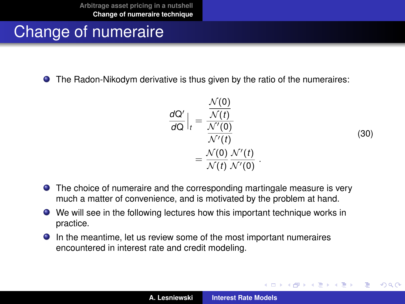# Change of numeraire

The Radon-Nikodym derivative is thus given by the ratio of the numeraires:

$$
\frac{dQ'}{dQ}\Big|_{t} = \frac{\frac{\mathcal{N}(0)}{\mathcal{N}(t)}}{\frac{\mathcal{N}'(0)}{\mathcal{N}'(t)}} = \frac{\mathcal{N}(0)}{\mathcal{N}(t)} \frac{\mathcal{N}'(t)}{\mathcal{N}'(0)}.
$$
\n(30)

(ロトス個) (運) (運)

 $QQ$ 

Þ

- The choice of numeraire and the corresponding martingale measure is very much a matter of convenience, and is motivated by the problem at hand.
- We will see in the following lectures how this important technique works in practice.
- In the meantime, let us review some of the most important numeraires encountered in interest rate and credit modeling.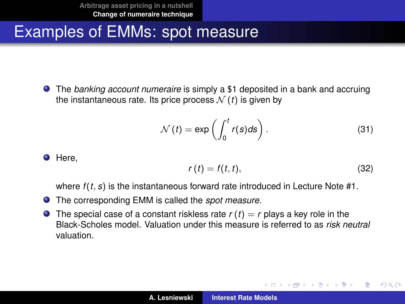## Examples of EMMs: spot measure

The *banking account numeraire* is simply a \$1 deposited in a bank and accruing the instantaneous rate. Its price process  $\mathcal{N}(t)$  is given by

$$
\mathcal{N}(t) = \exp\left(\int_0^t r(s)ds\right). \tag{31}
$$

**O** Here,

$$
r(t) = f(t, t), \tag{32}
$$

(ロトス個) (運) (運)

Þ

 $298$ 

where *f* (*t*, *s*) is the instantaneous forward rate introduced in Lecture Note #1.

- The corresponding EMM is called the *spot measure*.
- **O** The special case of a constant riskless rate  $r(t) = r$  plays a key role in the Black-Scholes model. Valuation under this measure is referred to as *risk neutral* valuation.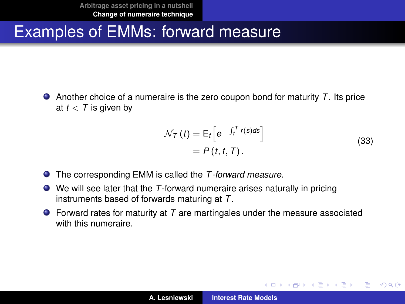### Examples of EMMs: forward measure

Another choice of a numeraire is the zero coupon bond for maturity *T*. Its price at  $t < T$  is given by

$$
\mathcal{N}_T(t) = \mathsf{E}_t \Big[ e^{-\int_t^T r(s) ds} \Big] \n= P(t, t, T).
$$
\n(33)

(ロトス個) (運) (運)

Þ

- The corresponding EMM is called the *T -forward measure*.
- We will see later that the *T*-forward numeraire arises naturally in pricing instruments based of forwards maturing at *T*.
- Forward rates for maturity at *T* are martingales under the measure associated with this numeraire.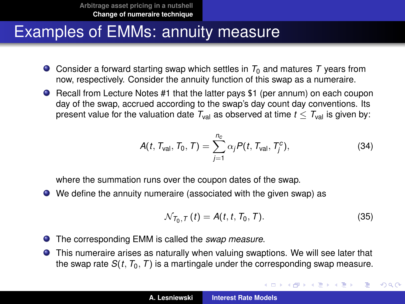#### Examples of EMMs: annuity measure

- Consider a forward starting swap which settles in  $T_0$  and matures T years from now, respectively. Consider the annuity function of this swap as a numeraire.
- Recall from Lecture Notes #1 that the latter pays \$1 (per annum) on each coupon day of the swap, accrued according to the swap's day count day conventions. Its present value for the valuation date  $T_{val}$  as observed at time  $t < T_{val}$  is given by:

$$
A(t, T_{\text{val}}, T_0, T) = \sum_{j=1}^{n_c} \alpha_j P(t, T_{\text{val}}, T_j^c),
$$
 (34)

where the summation runs over the coupon dates of the swap.

We define the annuity numeraire (associated with the given swap) as

$$
\mathcal{N}_{T_0,T}(t) = A(t,t,T_0,T). \tag{35}
$$

イロメ イ部メ イヨメ イヨメー

÷,

 $299$ 

- The corresponding EMM is called the *swap measure*.
- This numeraire arises as naturally when valuing swaptions. We will see later that the swap rate  $S(t, T_0, T)$  is a martingale under the corresponding swap measure.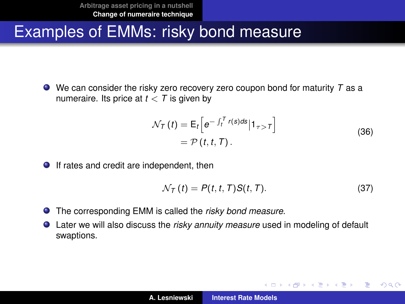## Examples of EMMs: risky bond measure

We can consider the risky zero recovery zero coupon bond for maturity *T* as a numeraire. Its price at  $t < T$  is given by

$$
\mathcal{N}_{\mathcal{T}}(t) = \mathsf{E}_{t} \Big[ e^{-\int_{t}^{\mathcal{T}} r(s) ds} | \mathbf{1}_{\tau > \mathcal{T}} \Big] \n= \mathcal{P}(t, t, \mathcal{T}).
$$
\n(36)

● If rates and credit are independent, then

$$
\mathcal{N}_T(t) = P(t, t, T)S(t, T). \tag{37}
$$

(ロトス個) (運) (運)

 $299$ 

- The corresponding EMM is called the *risky bond measure*.
- Later we will also discuss the *risky annuity measure* used in modeling of default swaptions.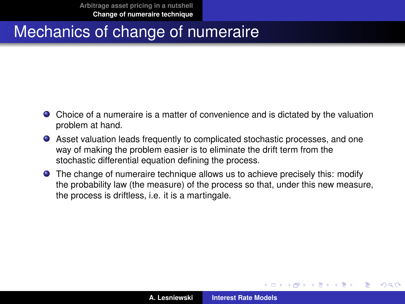- Choice of a numeraire is a matter of convenience and is dictated by the valuation problem at hand.
- Asset valuation leads frequently to complicated stochastic processes, and one way of making the problem easier is to eliminate the drift term from the stochastic differential equation defining the process.
- The change of numeraire technique allows us to achieve precisely this: modify the probability law (the measure) of the process so that, under this new measure, the process is driftless, i.e. it is a martingale.

(ロトス個) (運) (運)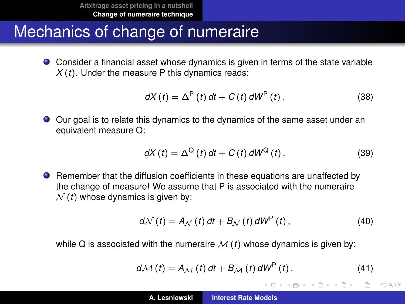Consider a financial asset whose dynamics is given in terms of the state variable *X* (*t*). Under the measure P this dynamics reads:

$$
dX(t) = \Delta^{P}(t) dt + C(t) dW^{P}(t).
$$
 (38)

Our goal is to relate this dynamics to the dynamics of the same asset under an equivalent measure Q:

$$
dX(t) = \Delta^{Q}(t) dt + C(t) dW^{Q}(t).
$$
 (39)

**•** Remember that the diffusion coefficients in these equations are unaffected by the change of measure! We assume that P is associated with the numeraire  $N(t)$  whose dynamics is given by:

$$
d\mathcal{N}(t) = A_{\mathcal{N}}(t) dt + B_{\mathcal{N}}(t) dW^{P}(t), \qquad (40)
$$

while Q is associated with the numeraire  $M(t)$  whose dynamics is given by:

$$
d\mathcal{M}(t) = A_{\mathcal{M}}(t) dt + B_{\mathcal{M}}(t) dW^{P}(t).
$$
 (41)

K ロ ⊁ K 御 ⊁ K 君 ⊁ K 君 ⊁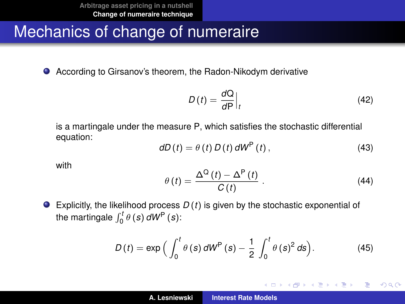● According to Girsanov's theorem, the Radon-Nikodym derivative

<span id="page-39-0"></span>
$$
D(t) = \frac{dQ}{dP}\Big|_{t} \tag{42}
$$

is a martingale under the measure P, which satisfies the stochastic differential equation:

$$
dD(t) = \theta(t) D(t) dW^{P}(t), \qquad (43)
$$

with

$$
\theta(t) = \frac{\Delta^{Q}(t) - \Delta^{P}(t)}{C(t)} \ . \tag{44}
$$

イロメ イ部メ イヨメ イヨメー

 $299$ 

重

Explicitly, the likelihood process *D* (*t*) is given by the stochastic exponential of the martingale  $\int_0^t \theta(s) dW^{\mathsf{P}}(s)$ :

$$
D(t) = \exp\Big(\int_0^t \theta(s) dW^{\mathsf{P}}(s) - \frac{1}{2} \int_0^t \theta(s)^2 ds\Big). \tag{45}
$$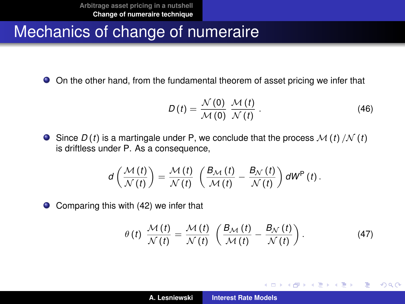On the other hand, from the fundamental theorem of asset pricing we infer that

$$
D(t) = \frac{\mathcal{N}(0)}{\mathcal{M}(0)} \frac{\mathcal{M}(t)}{\mathcal{N}(t)}.
$$
 (46)

 $\bullet$  Since  $D(t)$  is a martingale under P, we conclude that the process  $\mathcal{M}(t)/\mathcal{N}(t)$ is driftless under P. As a consequence,

$$
d\left(\frac{\mathcal{M}(t)}{\mathcal{N}(t)}\right)=\frac{\mathcal{M}(t)}{\mathcal{N}(t)}\left(\frac{B_{\mathcal{M}}(t)}{\mathcal{M}(t)}-\frac{B_{\mathcal{N}}(t)}{\mathcal{N}(t)}\right)dW^{P}(t).
$$

Comparing this with [\(42\)](#page-39-0) we infer that  $\bullet$ 

$$
\theta(t) \frac{\mathcal{M}(t)}{\mathcal{N}(t)} = \frac{\mathcal{M}(t)}{\mathcal{N}(t)} \left( \frac{B_{\mathcal{M}}(t)}{\mathcal{M}(t)} - \frac{B_{\mathcal{N}}(t)}{\mathcal{N}(t)} \right). \tag{47}
$$

イロト イ部 トイヨ トイヨト

 $299$ 

重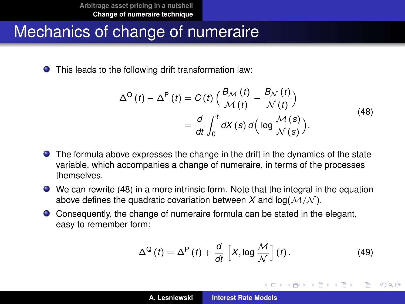This leads to the following drift transformation law:

$$
\Delta^{\mathcal{Q}}(t) - \Delta^{\mathcal{P}}(t) = C(t) \left( \frac{B_{\mathcal{M}}(t)}{\mathcal{M}(t)} - \frac{B_{\mathcal{N}}(t)}{\mathcal{N}(t)} \right)
$$
  
= 
$$
\frac{d}{dt} \int_{0}^{t} dX(s) d\left( \log \frac{\mathcal{M}(s)}{\mathcal{N}(s)} \right).
$$
 (48)

- The formula above expresses the change in the drift in the dynamics of the state variable, which accompanies a change of numeraire, in terms of the processes themselves.
- We can rewrite [\(48\)](#page-41-0) in a more intrinsic form. Note that the integral in the equation above defines the quadratic covariation between  $X$  and  $log(M/N)$ .
- Consequently, the change of numeraire formula can be stated in the elegant, easy to remember form:

$$
\Delta^{\mathcal{Q}}\left(t\right)=\Delta^{\mathcal{P}}\left(t\right)+\frac{d}{dt}\left[X,\log\frac{\mathcal{M}}{\mathcal{N}}\right]\left(t\right). \tag{49}
$$

<span id="page-41-0"></span>(ロトス個) (運) (運)